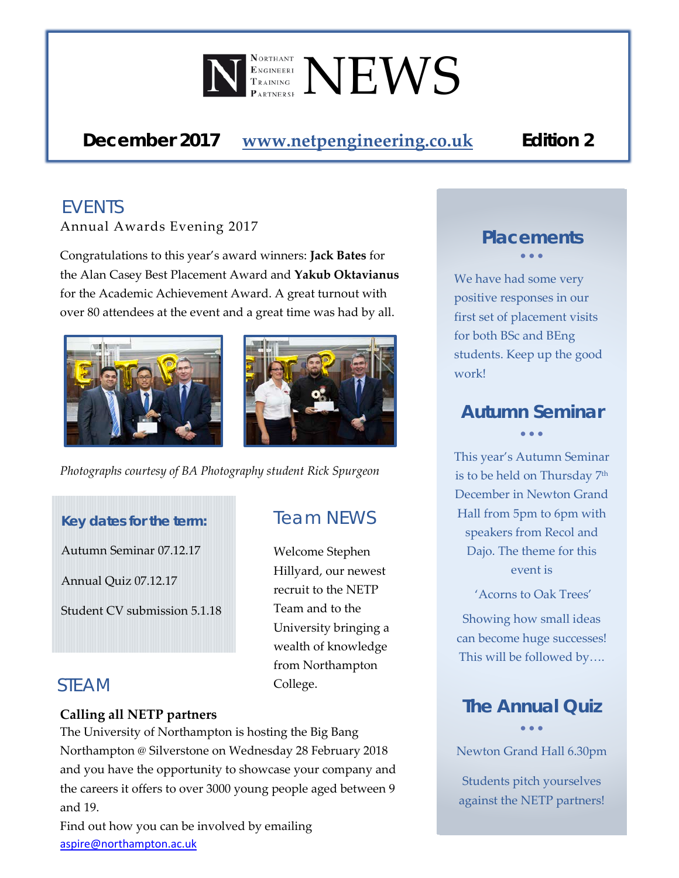

*December 2017* **[www.netpengineering.co.uk](http://www.netpengineering.co.uk/)** *Edition 2*

# *EVENTS*

Annual Awards Evening 2017

Congratulations to this year's award winners: **Jack Bates** for the Alan Casey Best Placement Award and **Yakub Oktavianus** for the Academic Achievement Award. A great turnout with over 80 attendees at the event and a great time was had by all.





*Photographs courtesy of BA Photography student Rick Spurgeon*

#### *Key dates for the term:*

Autumn Seminar 07.12.17

Annual Quiz 07.12.17

Student CV submission 5.1.18

#### *STEAM*

#### **Calling all NETP partners**

The University of Northampton is hosting the Big Bang Northampton @ Silverstone on Wednesday 28 February 2018 and you have the opportunity to showcase your company and the careers it offers to over 3000 young people aged between 9 and 19.

Find out how you can be involved by emailing [aspire@northampton.ac.uk](mailto:aspire@northampton.ac.uk)

# *Team NEWS*

Welcome Stephen Hillyard, our newest recruit to the NETP Team and to the University bringing a wealth of knowledge from Northampton College.

#### *Placements* • • •

We have had some very positive responses in our first set of placement visits for both BSc and BEng students. Keep up the good work!

#### *Autumn Seminar* • • •

This year's Autumn Seminar is to be held on Thursday 7<sup>th</sup> December in Newton Grand Hall from 5pm to 6pm with speakers from Recol and Dajo. The theme for this event is

'Acorns to Oak Trees'

Showing how small ideas can become huge successes! This will be followed by….

#### *The Annual Quiz* • • •

Newton Grand Hall 6.30pm

Students pitch yourselves against the NETP partners!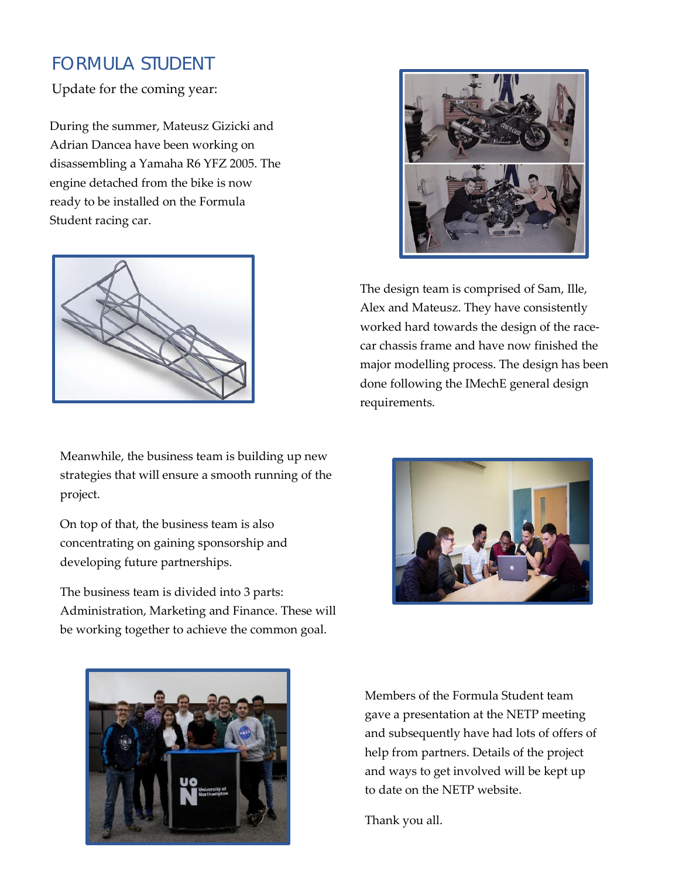#### *FORMULA STUDENT*

Update for the coming year:

During the summer, Mateusz Gizicki and Adrian Dancea have been working on disassembling a Yamaha R6 YFZ 2005. The engine detached from the bike is now ready to be installed on the Formula Student racing car.



Meanwhile, the business team is building up new strategies that will ensure a smooth running of the project.

On top of that, the business team is also concentrating on gaining sponsorship and developing future partnerships.

The business team is divided into 3 parts: Administration, Marketing and Finance. These will be working together to achieve the common goal.



The design team is comprised of Sam, Ille, Alex and Mateusz. They have consistently worked hard towards the design of the racecar chassis frame and have now finished the major modelling process. The design has been done following the IMechE general design requirements.





Members of the Formula Student team gave a presentation at the NETP meeting and subsequently have had lots of offers of help from partners. Details of the project and ways to get involved will be kept up to date on the NETP website.

Thank you all.